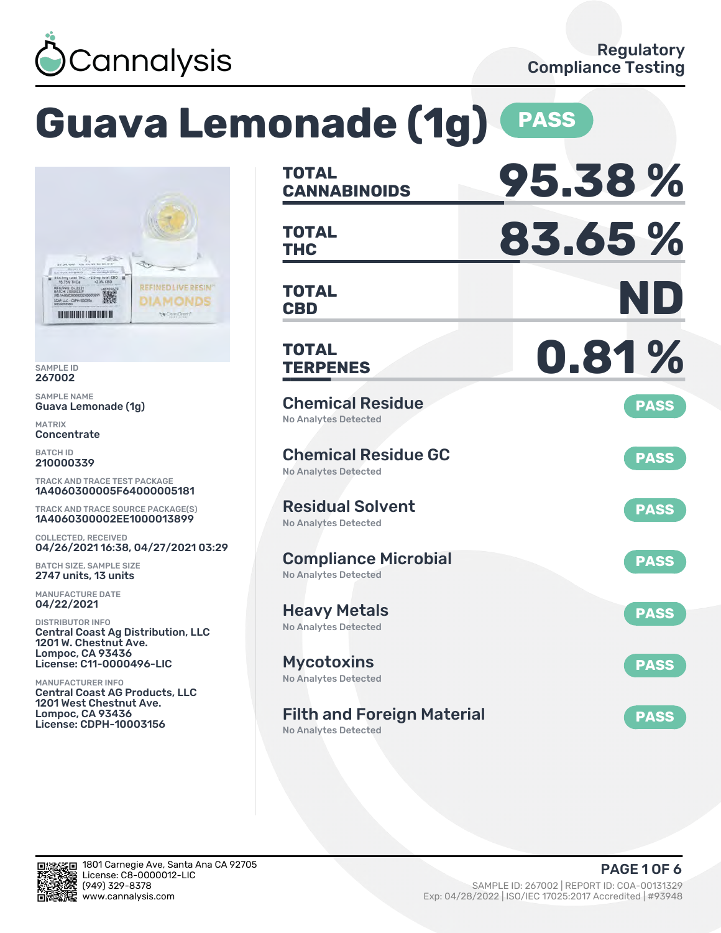

# **Guava Lemonade (1g) PASS**



SAMPLE ID 267002

SAMPLE NAME Guava Lemonade (1g)

MATRIX **Concentrate** 

BATCH ID 210000339

TRACK AND TRACE TEST PACKAGE 1A4060300005F64000005181

TRACK AND TRACE SOURCE PACKAGE(S) 1A4060300002EE1000013899

COLLECTED, RECEIVED 04/26/2021 16:38, 04/27/2021 03:29

BATCH SIZE, SAMPLE SIZE 2747 units, 13 units

MANUFACTURE DATE 04/22/2021

DISTRIBUTOR INFO Central Coast Ag Distribution, LLC 1201 W. Chestnut Ave. Lompoc, CA 93436 License: C11-0000496-LIC

MANUFACTURER INFO Central Coast AG Products, LLC 1201 West Chestnut Ave. Lompoc, CA 93436 License: CDPH-10003156

| TOTAL<br><b>CANNABINOIDS</b>                               | 95.38%      |
|------------------------------------------------------------|-------------|
| <b>TOTAL</b><br>THC                                        | 83.65%      |
| TOTAL<br><b>CBD</b>                                        | ND          |
| TOTAL<br><b>TERPENES</b>                                   | 0.81%       |
| <b>Chemical Residue</b><br><b>No Analytes Detected</b>     | <b>PASS</b> |
| <b>Chemical Residue GC</b><br><b>No Analytes Detected</b>  | <b>PASS</b> |
| <b>Residual Solvent</b><br><b>No Analytes Detected</b>     | <b>PASS</b> |
| <b>Compliance Microbial</b><br><b>No Analytes Detected</b> | <b>PASS</b> |
| <b>Heavy Metals</b><br><b>No Analytes Detected</b>         | <b>PASS</b> |
| Mycotoxins<br>No Analytes Detected                         | <b>PASS</b> |
| <b>Filth and Foreign Material</b>                          | <b>PASS</b> |

No Analytes Detected

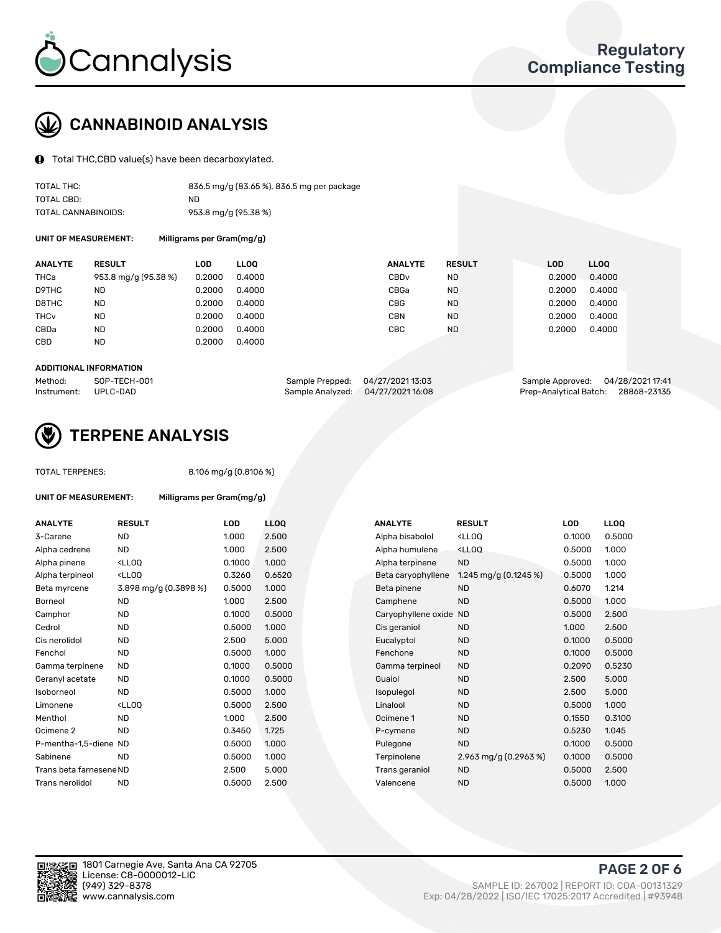

## CANNABINOID ANALYSIS

Total THC,CBD value(s) have been decarboxylated.

| TOTAL THC:          | 836.5 mg/g (83.65 %), 836.5 mg per package |
|---------------------|--------------------------------------------|
| TOTAL CBD:          | ND.                                        |
| TOTAL CANNABINOIDS: | 953.8 mg/g (95.38 %)                       |

UNIT OF MEASUREMENT:

| Milligrams per Gram(mg/g) |  |
|---------------------------|--|
|---------------------------|--|

| <b>ANALYTE</b>         | <b>RESULT</b>        | LOD    | <b>LLOO</b> | <b>ANALYTE</b>   | <b>RESULT</b> | <b>LOD</b> | LL <sub>00</sub> |
|------------------------|----------------------|--------|-------------|------------------|---------------|------------|------------------|
| THCa                   | 953.8 mg/g (95.38 %) | 0.2000 | 0.4000      | CBD <sub>v</sub> | <b>ND</b>     | 0.2000     | 0.4000           |
| D9THC                  | <b>ND</b>            | 0.2000 | 0.4000      | CBGa             | <b>ND</b>     | 0.2000     | 0.4000           |
| D8THC                  | <b>ND</b>            | 0.2000 | 0.4000      | <b>CBG</b>       | <b>ND</b>     | 0.2000     | 0.4000           |
| <b>THC<sub>v</sub></b> | <b>ND</b>            | 0.2000 | 0.4000      | <b>CBN</b>       | <b>ND</b>     | 0.2000     | 0.4000           |
| CBDa                   | <b>ND</b>            | 0.2000 | 0.4000      | CBC              | <b>ND</b>     | 0.2000     | 0.4000           |
| CBD                    | <b>ND</b>            | 0.2000 | 0.4000      |                  |               |            |                  |
|                        |                      |        |             |                  |               |            |                  |

#### ADDITIONAL INFORMATION

| Method:              | SOP-TECH-001 | Sample Prepped: 04/27/2021 13:03  | Sample Approved: 04/28/2021 17:41  |  |
|----------------------|--------------|-----------------------------------|------------------------------------|--|
| Instrument: UPLC-DAD |              | Sample Analyzed: 04/27/2021 16:08 | Prep-Analytical Batch: 28868-23135 |  |



## TERPENE ANALYSIS

| <b>TOTAL TERPENES:</b>      |                                                                                                                                           | 8.106 mg/g (0.8106 %)     |             |                     |                                                    |        |             |
|-----------------------------|-------------------------------------------------------------------------------------------------------------------------------------------|---------------------------|-------------|---------------------|----------------------------------------------------|--------|-------------|
| <b>UNIT OF MEASUREMENT:</b> |                                                                                                                                           | Milligrams per Gram(mg/g) |             |                     |                                                    |        |             |
| <b>ANALYTE</b>              | <b>RESULT</b>                                                                                                                             | LOD                       | <b>LLOO</b> | <b>ANALYTE</b>      | <b>RESULT</b>                                      | LOD    | <b>LLOQ</b> |
| 3-Carene                    | <b>ND</b>                                                                                                                                 | 1.000                     | 2.500       | Alpha bisabolol     | <ll0q< td=""><td>0.1000</td><td>0.500</td></ll0q<> | 0.1000 | 0.500       |
| Alpha cedrene               | <b>ND</b>                                                                                                                                 | 1.000                     | 2.500       | Alpha humulene      | <lloq< td=""><td>0.5000</td><td>1.000</td></lloq<> | 0.5000 | 1.000       |
| Alpha pinene                | <lloq< td=""><td>0.1000</td><td>1.000</td><td>Alpha terpinene</td><td><b>ND</b></td><td>0.5000</td><td>1.000</td></lloq<>                 | 0.1000                    | 1.000       | Alpha terpinene     | <b>ND</b>                                          | 0.5000 | 1.000       |
| Alpha terpineol             | <lloq< td=""><td>0.3260</td><td>0.6520</td><td>Beta caryophyllene</td><td>1.245 mg/g (0.1245 %)</td><td>0.5000</td><td>1.000</td></lloq<> | 0.3260                    | 0.6520      | Beta caryophyllene  | 1.245 mg/g (0.1245 %)                              | 0.5000 | 1.000       |
| Beta myrcene                | 3.898 mg/g (0.3898 %)                                                                                                                     | 0.5000                    | 1.000       | Beta pinene         | <b>ND</b>                                          | 0.6070 | 1.214       |
| <b>Borneol</b>              | <b>ND</b>                                                                                                                                 | 1.000                     | 2.500       | Camphene            | <b>ND</b>                                          | 0.5000 | 1.000       |
| Camphor                     | <b>ND</b>                                                                                                                                 | 0.1000                    | 0.5000      | Caryophyllene oxide | <b>ND</b>                                          | 0.5000 | 2.500       |
| Cedrol                      | ND                                                                                                                                        | 0.5000                    | 1.000       | Cis geraniol        | <b>ND</b>                                          | 1.000  | 2.500       |
| Cis nerolidol               | <b>ND</b>                                                                                                                                 | 2.500                     | 5.000       | Eucalyptol          | <b>ND</b>                                          | 0.1000 | 0.500       |
| Fenchol                     | <b>ND</b>                                                                                                                                 | 0.5000                    | 1.000       | Fenchone            | <b>ND</b>                                          | 0.1000 | 0.500       |
| Gamma terpinene             | <b>ND</b>                                                                                                                                 | 0.1000                    | 0.5000      | Gamma terpineol     | <b>ND</b>                                          | 0.2090 | 0.523       |
| Geranyl acetate             | <b>ND</b>                                                                                                                                 | 0.1000                    | 0.5000      | Guaiol              | <b>ND</b>                                          | 2.500  | 5.000       |
| Isoborneol                  | <b>ND</b>                                                                                                                                 | 0.5000                    | 1.000       | Isopulegol          | <b>ND</b>                                          | 2.500  | 5.000       |
| Limonene                    | <lloo< td=""><td>0.5000</td><td>2.500</td><td>Linalool</td><td><b>ND</b></td><td>0.5000</td><td>1.000</td></lloo<>                        | 0.5000                    | 2.500       | Linalool            | <b>ND</b>                                          | 0.5000 | 1.000       |
| Menthol                     | <b>ND</b>                                                                                                                                 | 1.000                     | 2.500       | Ocimene 1           | <b>ND</b>                                          | 0.1550 | 0.310       |
| Ocimene 2                   | <b>ND</b>                                                                                                                                 | 0.3450                    | 1.725       | P-cymene            | <b>ND</b>                                          | 0.5230 | 1.045       |
| P-mentha-1,5-diene ND       |                                                                                                                                           | 0.5000                    | 1.000       | Pulegone            | <b>ND</b>                                          | 0.1000 | 0.500       |
| Sabinene                    | <b>ND</b>                                                                                                                                 | 0.5000                    | 1.000       | Terpinolene         | 2.963 mg/g $(0.2963\%)$                            | 0.1000 | 0.500       |
| Trans beta farnesene ND     |                                                                                                                                           | 2.500                     | 5.000       | Trans geraniol      | <b>ND</b>                                          | 0.5000 | 2.500       |
| Trans nerolidol             | <b>ND</b>                                                                                                                                 | 0.5000                    | 2.500       | Valencene           | <b>ND</b>                                          | 0.5000 | 1.000       |

| ANALYTE                 | <b>RESULT</b>                                                                                                                             | <b>LOD</b> | <b>LLOQ</b> | <b>ANALYTE</b>      | <b>RESULT</b>                                       | <b>LOD</b> | <b>LLOQ</b> |
|-------------------------|-------------------------------------------------------------------------------------------------------------------------------------------|------------|-------------|---------------------|-----------------------------------------------------|------------|-------------|
| 3-Carene                | <b>ND</b>                                                                                                                                 | 1.000      | 2.500       | Alpha bisabolol     | <ll0q< td=""><td>0.1000</td><td>0.5000</td></ll0q<> | 0.1000     | 0.5000      |
| Alpha cedrene           | <b>ND</b>                                                                                                                                 | 1.000      | 2.500       | Alpha humulene      | <lloq< td=""><td>0.5000</td><td>1.000</td></lloq<>  | 0.5000     | 1.000       |
| Alpha pinene            | <lloq< td=""><td>0.1000</td><td>1.000</td><td>Alpha terpinene</td><td><b>ND</b></td><td>0.5000</td><td>1.000</td></lloq<>                 | 0.1000     | 1.000       | Alpha terpinene     | <b>ND</b>                                           | 0.5000     | 1.000       |
| Alpha terpineol         | <ll0q< td=""><td>0.3260</td><td>0.6520</td><td>Beta caryophyllene</td><td>1.245 mg/g (0.1245 %)</td><td>0.5000</td><td>1.000</td></ll0q<> | 0.3260     | 0.6520      | Beta caryophyllene  | 1.245 mg/g (0.1245 %)                               | 0.5000     | 1.000       |
| Beta myrcene            | 3.898 mg/g (0.3898 %)                                                                                                                     | 0.5000     | 1.000       | Beta pinene         | <b>ND</b>                                           | 0.6070     | 1.214       |
| Borneol                 | <b>ND</b>                                                                                                                                 | 1.000      | 2.500       | Camphene            | <b>ND</b>                                           | 0.5000     | 1.000       |
| Camphor                 | <b>ND</b>                                                                                                                                 | 0.1000     | 0.5000      | Caryophyllene oxide | <b>ND</b>                                           | 0.5000     | 2.500       |
| Cedrol                  | <b>ND</b>                                                                                                                                 | 0.5000     | 1.000       | Cis geraniol        | <b>ND</b>                                           | 1.000      | 2.500       |
| Cis nerolidol           | ND                                                                                                                                        | 2.500      | 5.000       | Eucalyptol          | <b>ND</b>                                           | 0.1000     | 0.5000      |
| Fenchol                 | <b>ND</b>                                                                                                                                 | 0.5000     | 1.000       | Fenchone            | <b>ND</b>                                           | 0.1000     | 0.5000      |
| Gamma terpinene         | <b>ND</b>                                                                                                                                 | 0.1000     | 0.5000      | Gamma terpineol     | <b>ND</b>                                           | 0.2090     | 0.5230      |
| Geranyl acetate         | <b>ND</b>                                                                                                                                 | 0.1000     | 0.5000      | Guaiol              | <b>ND</b>                                           | 2.500      | 5.000       |
| Isoborneol              | <b>ND</b>                                                                                                                                 | 0.5000     | 1.000       | Isopulegol          | <b>ND</b>                                           | 2.500      | 5.000       |
| Limonene                | <lloq< td=""><td>0.5000</td><td>2.500</td><td>Linalool</td><td><b>ND</b></td><td>0.5000</td><td>1.000</td></lloq<>                        | 0.5000     | 2.500       | Linalool            | <b>ND</b>                                           | 0.5000     | 1.000       |
| Menthol                 | <b>ND</b>                                                                                                                                 | 1.000      | 2.500       | Ocimene 1           | <b>ND</b>                                           | 0.1550     | 0.3100      |
| Ocimene 2               | <b>ND</b>                                                                                                                                 | 0.3450     | 1.725       | P-cymene            | <b>ND</b>                                           | 0.5230     | 1.045       |
| P-mentha-1,5-diene ND   |                                                                                                                                           | 0.5000     | 1.000       | Pulegone            | <b>ND</b>                                           | 0.1000     | 0.5000      |
| Sabinene                | <b>ND</b>                                                                                                                                 | 0.5000     | 1.000       | Terpinolene         | 2.963 mg/g (0.2963 %)                               | 0.1000     | 0.5000      |
| Trans beta farnesene ND |                                                                                                                                           | 2.500      | 5.000       | Trans geraniol      | <b>ND</b>                                           | 0.5000     | 2.500       |
| Trans nerolidol         | <b>ND</b>                                                                                                                                 | 0.5000     | 2.500       | Valencene           | <b>ND</b>                                           | 0.5000     | 1.000       |
|                         |                                                                                                                                           |            |             |                     |                                                     |            |             |



PAGE 2 OF 6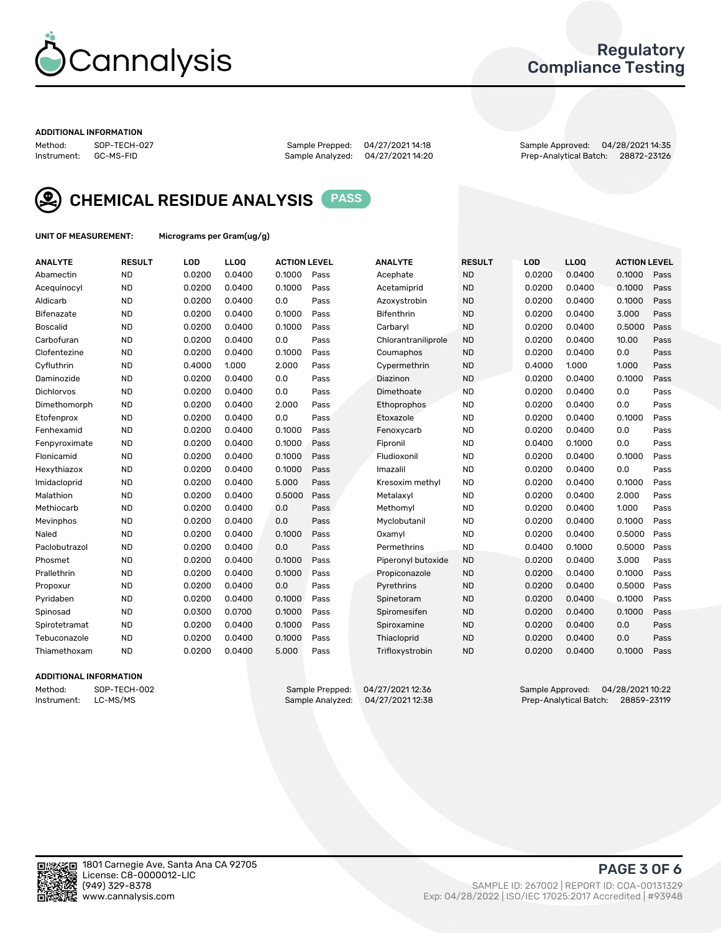

## Regulatory Compliance Testing

#### ADDITIONAL INFORMATION

Sample Analyzed: 04/27/2021 14:20

Method: SOP-TECH-027 Sample Prepped: 04/27/2021 14:18 Sample Approved: 04/28/2021 14:35



CHEMICAL RESIDUE ANALYSIS PASS

UNIT OF MEASUREMENT: Micrograms per Gram(ug/g)

| <b>ANALYTE</b>    | <b>RESULT</b> | LOD    | <b>LLOQ</b> | <b>ACTION LEVEL</b> |      | <b>ANALYTE</b>      | <b>RESULT</b> | LOD    | <b>LLOQ</b> | <b>ACTION LEVEL</b> |      |
|-------------------|---------------|--------|-------------|---------------------|------|---------------------|---------------|--------|-------------|---------------------|------|
| Abamectin         | <b>ND</b>     | 0.0200 | 0.0400      | 0.1000              | Pass | Acephate            | <b>ND</b>     | 0.0200 | 0.0400      | 0.1000              | Pass |
| Acequinocyl       | <b>ND</b>     | 0.0200 | 0.0400      | 0.1000              | Pass | Acetamiprid         | <b>ND</b>     | 0.0200 | 0.0400      | 0.1000              | Pass |
| Aldicarb          | <b>ND</b>     | 0.0200 | 0.0400      | 0.0                 | Pass | Azoxystrobin        | <b>ND</b>     | 0.0200 | 0.0400      | 0.1000              | Pass |
| Bifenazate        | <b>ND</b>     | 0.0200 | 0.0400      | 0.1000              | Pass | <b>Bifenthrin</b>   | <b>ND</b>     | 0.0200 | 0.0400      | 3.000               | Pass |
| <b>Boscalid</b>   | <b>ND</b>     | 0.0200 | 0.0400      | 0.1000              | Pass | Carbarvl            | <b>ND</b>     | 0.0200 | 0.0400      | 0.5000              | Pass |
| Carbofuran        | <b>ND</b>     | 0.0200 | 0.0400      | 0.0                 | Pass | Chlorantraniliprole | <b>ND</b>     | 0.0200 | 0.0400      | 10.00               | Pass |
| Clofentezine      | <b>ND</b>     | 0.0200 | 0.0400      | 0.1000              | Pass | Coumaphos           | <b>ND</b>     | 0.0200 | 0.0400      | 0.0                 | Pass |
| Cyfluthrin        | <b>ND</b>     | 0.4000 | 1.000       | 2.000               | Pass | Cypermethrin        | <b>ND</b>     | 0.4000 | 1.000       | 1.000               | Pass |
| Daminozide        | <b>ND</b>     | 0.0200 | 0.0400      | 0.0                 | Pass | Diazinon            | <b>ND</b>     | 0.0200 | 0.0400      | 0.1000              | Pass |
| <b>Dichlorvos</b> | <b>ND</b>     | 0.0200 | 0.0400      | 0.0                 | Pass | Dimethoate          | <b>ND</b>     | 0.0200 | 0.0400      | 0.0                 | Pass |
| Dimethomorph      | <b>ND</b>     | 0.0200 | 0.0400      | 2.000               | Pass | <b>Ethoprophos</b>  | <b>ND</b>     | 0.0200 | 0.0400      | 0.0                 | Pass |
| Etofenprox        | <b>ND</b>     | 0.0200 | 0.0400      | 0.0                 | Pass | Etoxazole           | <b>ND</b>     | 0.0200 | 0.0400      | 0.1000              | Pass |
| Fenhexamid        | <b>ND</b>     | 0.0200 | 0.0400      | 0.1000              | Pass | Fenoxycarb          | <b>ND</b>     | 0.0200 | 0.0400      | 0.0                 | Pass |
| Fenpyroximate     | <b>ND</b>     | 0.0200 | 0.0400      | 0.1000              | Pass | Fipronil            | <b>ND</b>     | 0.0400 | 0.1000      | 0.0                 | Pass |
| Flonicamid        | <b>ND</b>     | 0.0200 | 0.0400      | 0.1000              | Pass | Fludioxonil         | <b>ND</b>     | 0.0200 | 0.0400      | 0.1000              | Pass |
| Hexythiazox       | <b>ND</b>     | 0.0200 | 0.0400      | 0.1000              | Pass | Imazalil            | <b>ND</b>     | 0.0200 | 0.0400      | 0.0                 | Pass |
| Imidacloprid      | <b>ND</b>     | 0.0200 | 0.0400      | 5.000               | Pass | Kresoxim methyl     | <b>ND</b>     | 0.0200 | 0.0400      | 0.1000              | Pass |
| Malathion         | <b>ND</b>     | 0.0200 | 0.0400      | 0.5000              | Pass | Metalaxyl           | <b>ND</b>     | 0.0200 | 0.0400      | 2.000               | Pass |
| Methiocarb        | <b>ND</b>     | 0.0200 | 0.0400      | 0.0                 | Pass | Methomyl            | <b>ND</b>     | 0.0200 | 0.0400      | 1.000               | Pass |
| Mevinphos         | <b>ND</b>     | 0.0200 | 0.0400      | 0.0                 | Pass | Myclobutanil        | <b>ND</b>     | 0.0200 | 0.0400      | 0.1000              | Pass |
| Naled             | <b>ND</b>     | 0.0200 | 0.0400      | 0.1000              | Pass | Oxamyl              | <b>ND</b>     | 0.0200 | 0.0400      | 0.5000              | Pass |
| Paclobutrazol     | <b>ND</b>     | 0.0200 | 0.0400      | 0.0                 | Pass | Permethrins         | <b>ND</b>     | 0.0400 | 0.1000      | 0.5000              | Pass |
| Phosmet           | <b>ND</b>     | 0.0200 | 0.0400      | 0.1000              | Pass | Piperonyl butoxide  | <b>ND</b>     | 0.0200 | 0.0400      | 3.000               | Pass |
| Prallethrin       | <b>ND</b>     | 0.0200 | 0.0400      | 0.1000              | Pass | Propiconazole       | <b>ND</b>     | 0.0200 | 0.0400      | 0.1000              | Pass |
| Propoxur          | <b>ND</b>     | 0.0200 | 0.0400      | 0.0                 | Pass | Pyrethrins          | <b>ND</b>     | 0.0200 | 0.0400      | 0.5000              | Pass |
| Pyridaben         | <b>ND</b>     | 0.0200 | 0.0400      | 0.1000              | Pass | Spinetoram          | <b>ND</b>     | 0.0200 | 0.0400      | 0.1000              | Pass |
| Spinosad          | <b>ND</b>     | 0.0300 | 0.0700      | 0.1000              | Pass | Spiromesifen        | <b>ND</b>     | 0.0200 | 0.0400      | 0.1000              | Pass |
| Spirotetramat     | <b>ND</b>     | 0.0200 | 0.0400      | 0.1000              | Pass | Spiroxamine         | <b>ND</b>     | 0.0200 | 0.0400      | 0.0                 | Pass |
| Tebuconazole      | <b>ND</b>     | 0.0200 | 0.0400      | 0.1000              | Pass | Thiacloprid         | <b>ND</b>     | 0.0200 | 0.0400      | 0.0                 | Pass |
| Thiamethoxam      | <b>ND</b>     | 0.0200 | 0.0400      | 5.000               | Pass | Trifloxystrobin     | <b>ND</b>     | 0.0200 | 0.0400      | 0.1000              | Pass |

#### ADDITIONAL INFORMATION

Method: SOP-TECH-002 Sample Prepped: 04/27/2021 12:36 Sample Approved: 04/28/2021 10:22<br>Sample Analyzed: 04/27/2021 12:38 Prep-Analytical Batch: 28859-23119 Prep-Analytical Batch: 28859-23119

PAGE 3 OF 6

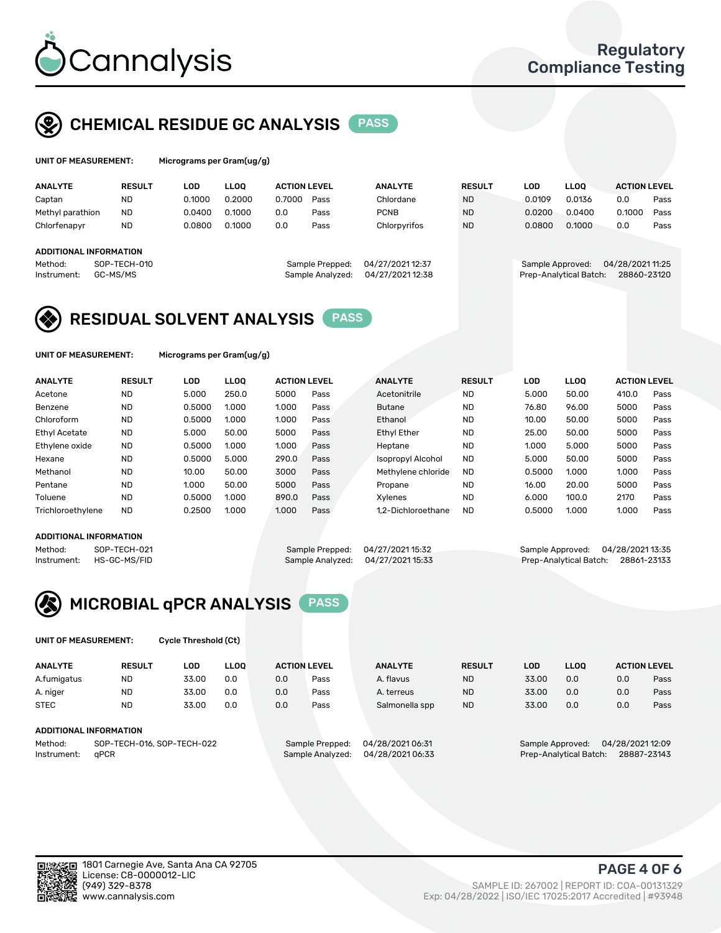

## CHEMICAL RESIDUE GC ANALYSIS PASS

| UNIT OF MEASUREMENT: |               | Micrograms per Gram(ug/g) |      |                 |
|----------------------|---------------|---------------------------|------|-----------------|
| <b>ANALYTE</b>       | <b>RESULT</b> | LOD                       | LLOO | <b>ACTION L</b> |
|                      | $\cdots$      |                           |      |                 |

| <b>ANALYTE</b>                | <b>RESULT</b>            | _OD.   | LLOO   | <b>ACTION LEVEL</b> |                                     | <b>ANALYTE</b>                       | <b>RESULT</b> | LOD    | <b>LLOO</b>                                | <b>ACTION LEVEL</b>             |      |
|-------------------------------|--------------------------|--------|--------|---------------------|-------------------------------------|--------------------------------------|---------------|--------|--------------------------------------------|---------------------------------|------|
| Captan                        | <b>ND</b>                | 0.1000 | 0.2000 | 0.7000              | Pass                                | Chlordane                            | <b>ND</b>     | 0.0109 | 0.0136                                     | 0.0                             | Pass |
| Methyl parathion              | <b>ND</b>                | 0.0400 | 0.1000 | 0.0                 | Pass                                | <b>PCNB</b>                          | <b>ND</b>     | 0.0200 | 0.0400                                     | 0.1000                          | Pass |
| Chlorfenapyr                  | <b>ND</b>                | 0.0800 | 0.1000 | 0.0                 | Pass                                | Chlorpyrifos                         | <b>ND</b>     | 0.0800 | 0.1000                                     | 0.0                             | Pass |
| <b>ADDITIONAL INFORMATION</b> |                          |        |        |                     |                                     |                                      |               |        |                                            |                                 |      |
| Method:<br>Instrument:        | SOP-TECH-010<br>GC-MS/MS |        |        |                     | Sample Prepped:<br>Sample Analyzed: | 04/27/2021 12:37<br>04/27/2021 12:38 |               |        | Sample Approved:<br>Prep-Analytical Batch: | 04/28/2021 11:25<br>28860-23120 |      |

## RESIDUAL SOLVENT ANALYSIS PASS

UNIT OF MEASUREMENT: Micrograms per Gram(ug/g)

| <b>ANALYTE</b>       | <b>RESULT</b> | LOD    | <b>LLOO</b> | <b>ACTION LEVEL</b> |      | <b>ANALYTE</b>           | <b>RESULT</b> | LOD    | <b>LLOO</b> | <b>ACTION LEVEL</b> |      |
|----------------------|---------------|--------|-------------|---------------------|------|--------------------------|---------------|--------|-------------|---------------------|------|
| Acetone              | <b>ND</b>     | 5.000  | 250.0       | 5000                | Pass | Acetonitrile             | <b>ND</b>     | 5.000  | 50.00       | 410.0               | Pass |
| Benzene              | <b>ND</b>     | 0.5000 | 1.000       | 1.000               | Pass | <b>Butane</b>            | <b>ND</b>     | 76.80  | 96.00       | 5000                | Pass |
| Chloroform           | <b>ND</b>     | 0.5000 | 1.000       | 1.000               | Pass | Ethanol                  | <b>ND</b>     | 10.00  | 50.00       | 5000                | Pass |
| <b>Ethyl Acetate</b> | <b>ND</b>     | 5.000  | 50.00       | 5000                | Pass | <b>Ethyl Ether</b>       | <b>ND</b>     | 25.00  | 50.00       | 5000                | Pass |
| Ethylene oxide       | <b>ND</b>     | 0.5000 | 1.000       | 1.000               | Pass | Heptane                  | <b>ND</b>     | 1.000  | 5.000       | 5000                | Pass |
| Hexane               | <b>ND</b>     | 0.5000 | 5.000       | 290.0               | Pass | <b>Isopropyl Alcohol</b> | <b>ND</b>     | 5.000  | 50.00       | 5000                | Pass |
| Methanol             | <b>ND</b>     | 10.00  | 50.00       | 3000                | Pass | Methylene chloride       | <b>ND</b>     | 0.5000 | 1.000       | 1.000               | Pass |
| Pentane              | <b>ND</b>     | 1.000  | 50.00       | 5000                | Pass | Propane                  | <b>ND</b>     | 16.00  | 20.00       | 5000                | Pass |
| Toluene              | <b>ND</b>     | 0.5000 | 1.000       | 890.0               | Pass | Xvlenes                  | <b>ND</b>     | 6.000  | 100.0       | 2170                | Pass |
| Trichloroethylene    | <b>ND</b>     | 0.2500 | 1.000       | 1.000               | Pass | 1.2-Dichloroethane       | <b>ND</b>     | 0.5000 | 1.000       | 1.000               | Pass |

#### ADDITIONAL INFORMATION

Method: SOP-TECH-021 Sample Prepped: 04/27/2021 15:32 Sample Approved: 04/28/2021 13:35<br>Sample Analyzed: 04/27/2021 15:33 Prep-Analytical Batch: 28861-23133 Prep-Analytical Batch: 28861-23133



UNIT OF MEASUREMENT: Cycle Threshold (Ct)

| <b>ANALYTE</b>                        | <b>RESULT</b>          | LOD   | <b>LLOO</b>      |                 | <b>ACTION LEVEL</b> | <b>ANALYTE</b> | <b>RESULT</b>          | <b>LOD</b> | <b>LLOO</b>     |     | <b>ACTION LEVEL</b> |
|---------------------------------------|------------------------|-------|------------------|-----------------|---------------------|----------------|------------------------|------------|-----------------|-----|---------------------|
| A.fumigatus                           | <b>ND</b>              | 33.00 | 0.0              | 0.0             | Pass                | A. flavus      | <b>ND</b>              | 33.00      | 0.0             | 0.0 | Pass                |
| A. niger                              | <b>ND</b>              | 33.00 | 0.0              | 0.0             | Pass                | A. terreus     | <b>ND</b>              | 33.00      | 0.0             | 0.0 | Pass                |
| <b>STEC</b>                           | <b>ND</b>              | 33.00 | 0.0              | 0.0             | Pass                | Salmonella spp | <b>ND</b>              | 33.00      | 0.0             | 0.0 | Pass                |
|                                       | ADDITIONAL INFORMATION |       |                  |                 |                     |                |                        |            |                 |     |                     |
| SOP-TECH-016, SOP-TECH-022<br>Method: |                        |       |                  | Sample Prepped: | 04/28/202106:31     |                | Sample Approved:       |            | 04/28/202112:09 |     |                     |
| aPCR<br>Instrument:                   |                        |       | Sample Analyzed: | 04/28/202106:33 |                     |                | Prep-Analytical Batch: |            | 28887-23143     |     |                     |

(949) 329-8378 SAMPLE ID: 267002 | REPORT ID: COA-00131329 Exp: 04/28/2022 | ISO/IEC 17025:2017 Accredited | #93948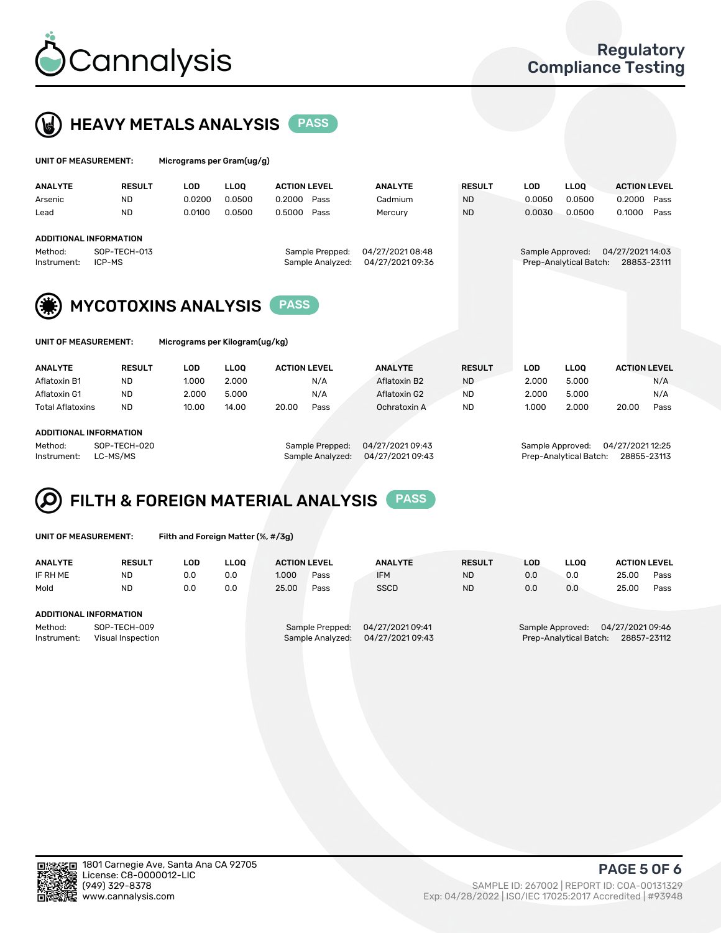



| UNIT OF MEASUREMENT:                             |                               | Micrograms per Gram(ug/g) |                                                                            |                     |      |                |                                                                               |            |             |                     |      |
|--------------------------------------------------|-------------------------------|---------------------------|----------------------------------------------------------------------------|---------------------|------|----------------|-------------------------------------------------------------------------------|------------|-------------|---------------------|------|
| <b>ANALYTE</b>                                   | <b>RESULT</b>                 | <b>LOD</b>                | <b>LLOO</b>                                                                | <b>ACTION LEVEL</b> |      | <b>ANALYTE</b> | <b>RESULT</b>                                                                 | <b>LOD</b> | <b>LLOO</b> | <b>ACTION LEVEL</b> |      |
| Arsenic                                          | <b>ND</b>                     | 0.0200                    | 0.0500                                                                     | 0.2000              | Pass | Cadmium        | <b>ND</b>                                                                     | 0.0050     | 0.0500      | 0.2000              | Pass |
| Lead                                             | <b>ND</b>                     | 0.0100                    | 0.0500                                                                     | 0.5000              | Pass | Mercury        | <b>ND</b>                                                                     | 0.0030     | 0.0500      | 0.1000              | Pass |
|                                                  | <b>ADDITIONAL INFORMATION</b> |                           |                                                                            |                     |      |                |                                                                               |            |             |                     |      |
| SOP-TECH-013<br>Method:<br>Instrument:<br>ICP-MS |                               |                           | 04/27/202108:48<br>Sample Prepped:<br>04/27/2021 09:36<br>Sample Analyzed: |                     |      |                | 04/27/2021 14:03<br>Sample Approved:<br>Prep-Analytical Batch:<br>28853-23111 |            |             |                     |      |
| (楽)                                              | <b>MYCOTOXINS ANALYSIS</b>    |                           |                                                                            | <b>PASS</b>         |      |                |                                                                               |            |             |                     |      |



UNIT OF MEASUREMENT: Micrograms per Kilogram(ug/kg)

| <b>ANALYTE</b>          | <b>RESULT</b>          | LOD   | LLOO  | <b>ACTION LEVEL</b> |      | <b>ANALYTE</b> | <b>RESULT</b> | LOD   | <b>LLOO</b> | <b>ACTION LEVEL</b> |      |  |  |
|-------------------------|------------------------|-------|-------|---------------------|------|----------------|---------------|-------|-------------|---------------------|------|--|--|
| Aflatoxin B1            | <b>ND</b>              | 1.000 | 2.000 |                     | N/A  | Aflatoxin B2   | <b>ND</b>     | 2.000 | 5.000       |                     | N/A  |  |  |
| Aflatoxin G1            | <b>ND</b>              | 2.000 | 5.000 |                     | N/A  | Aflatoxin G2   | <b>ND</b>     | 2.000 | 5.000       |                     | N/A  |  |  |
| <b>Total Aflatoxins</b> | <b>ND</b>              | 10.00 | 14.00 | 20.00               | Pass | Ochratoxin A   | <b>ND</b>     | 1.000 | 2.000       | 20.00               | Pass |  |  |
|                         |                        |       |       |                     |      |                |               |       |             |                     |      |  |  |
|                         | ABBITIONAL INFORMATION |       |       |                     |      |                |               |       |             |                     |      |  |  |

#### ADDITIONAL INFORMATION

Method: SOP-TECH-020 Sample Prepped: 04/27/2021 09:43 Sample Approved: 04/27/2021 12:25 Instrument: LC-MS/MS Sample Analyzed: 04/27/2021 09:43 Prep-Analytical Batch: 28855-23113

# FILTH & FOREIGN MATERIAL ANALYSIS PASS

UNIT OF MEASUREMENT: Filth and Foreign Matter (%, #/3g)

| <b>ANALYTE</b>                                              | <b>RESULT</b> | LOD | <b>LLOO</b> | <b>ACTION LEVEL</b> |                                     | <b>ANALYTE</b>                      | <b>RESULT</b>                                                                | LOD | LLOO | <b>ACTION LEVEL</b> |      |
|-------------------------------------------------------------|---------------|-----|-------------|---------------------|-------------------------------------|-------------------------------------|------------------------------------------------------------------------------|-----|------|---------------------|------|
| IF RH ME                                                    | <b>ND</b>     | 0.0 | 0.0         | 1.000               | Pass                                | <b>IFM</b>                          | <b>ND</b>                                                                    | 0.0 | 0.0  | 25.00               | Pass |
| Mold                                                        | <b>ND</b>     | 0.0 | 0.0         | 25.00               | Pass                                | <b>SSCD</b>                         | <b>ND</b>                                                                    | 0.0 | 0.0  | 25.00               | Pass |
| <b>ADDITIONAL INFORMATION</b>                               |               |     |             |                     |                                     |                                     |                                                                              |     |      |                     |      |
| Method:<br>SOP-TECH-009<br>Instrument:<br>Visual Inspection |               |     |             |                     | Sample Prepped:<br>Sample Analyzed: | 04/27/2021 09:41<br>04/27/202109:43 | 04/27/202109:46<br>Sample Approved:<br>Prep-Analytical Batch:<br>28857-23112 |     |      |                     |      |



PAGE 5 OF 6